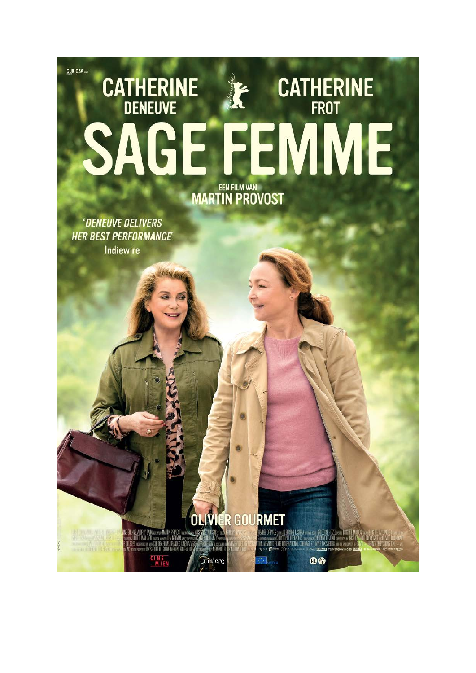## CURIOSA **CATHERINE CATHERINE** E **FFMI MARTIN PROVOST**

'DENEUVE DELIVERS **HER BEST PERFORMANCE** Indiewire

**OLIVIÉR GOURMET** 

.<br>E. AUDREY (DAMA SCHEMALE MARTIN PROVISSI CONDICION).<br>JETTE MAILLAPO LUCIUS VIN EN AL MARTING 3 CONEMA<br>A SCHEMA OF VISTRELLER DU GOOVERNOORDE FEDERAL<br>K SCHEMA OF VISTRELLER DU GOOVERNOORDE FEDERAL **CINE**<br>MIEN Lumiere **EXPERIENCE DE L'ARTIN LUGEN 1998 (DE LA CONFIDENCIA DE LA CONFIDENCIA DE L'ARTISTE DE L'ARTISTE DE L'ARTISTE D<br>Symbolique de l'ARTISTE (ESDACIÓ) de vertice de l'ARTISTE (ELECTRIC DE L'ARTISTE DE L'ARTISTE DE L'ARTISTE DE<br>**  $0$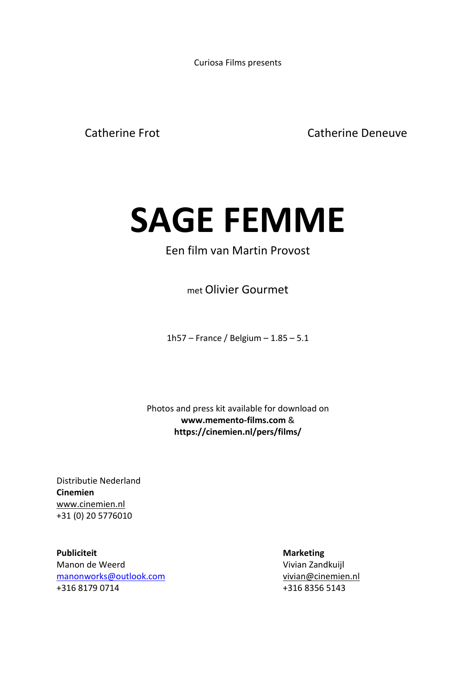Curiosa Films presents

Catherine Frot Catherine Deneuve

# **SAGE FEMME**

### Een film van Martin Provost

met Olivier Gourmet

1h57 – France / Belgium – 1.85 – 5.1

Photos and press kit available for download on **[www.memento-films.com](http://www.memento-films.com/)** & **https://cinemien.nl/pers/films/**

Distributie Nederland **Cinemien** [www.cinemien.nl](http://www.cinemien.nl/) +31 (0) 20 5776010

**Publiciteit Marketing** Manon de Weerd Vivian Zandkuiil [manonworks@outlook.com](mailto:manonworks@outlook.com) [vivian@cinemien.nl](mailto:vivian@cinemien.nl) +316 8179 0714 +316 8356 5143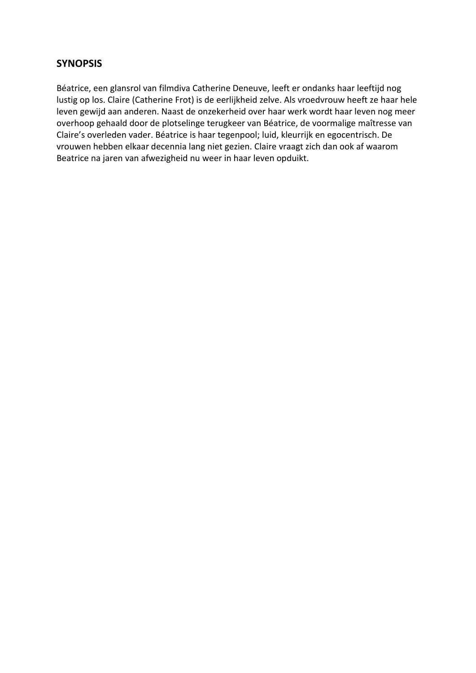#### **SYNOPSIS**

Béatrice, een glansrol van filmdiva Catherine Deneuve, leeft er ondanks haar leeftijd nog lustig op los. Claire (Catherine Frot) is de eerlijkheid zelve. Als vroedvrouw heeft ze haar hele leven gewijd aan anderen. Naast de onzekerheid over haar werk wordt haar leven nog meer overhoop gehaald door de plotselinge terugkeer van Béatrice, de voormalige maîtresse van Claire's overleden vader. Béatrice is haar tegenpool; luid, kleurrijk en egocentrisch. De vrouwen hebben elkaar decennia lang niet gezien. Claire vraagt zich dan ook af waarom Beatrice na jaren van afwezigheid nu weer in haar leven opduikt.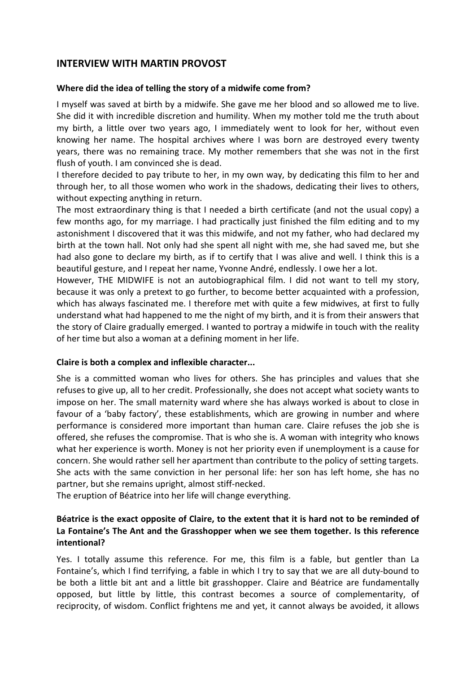#### **INTERVIEW WITH MARTIN PROVOST**

#### **Where did the idea of telling the story of a midwife come from?**

I myself was saved at birth by a midwife. She gave me her blood and so allowed me to live. She did it with incredible discretion and humility. When my mother told me the truth about my birth, a little over two years ago, I immediately went to look for her, without even knowing her name. The hospital archives where I was born are destroyed every twenty years, there was no remaining trace. My mother remembers that she was not in the first flush of youth. I am convinced she is dead.

I therefore decided to pay tribute to her, in my own way, by dedicating this film to her and through her, to all those women who work in the shadows, dedicating their lives to others, without expecting anything in return.

The most extraordinary thing is that I needed a birth certificate (and not the usual copy) a few months ago, for my marriage. I had practically just finished the film editing and to my astonishment I discovered that it was this midwife, and not my father, who had declared my birth at the town hall. Not only had she spent all night with me, she had saved me, but she had also gone to declare my birth, as if to certify that I was alive and well. I think this is a beautiful gesture, and I repeat her name, Yvonne André, endlessly. I owe her a lot.

However, THE MIDWIFE is not an autobiographical film. I did not want to tell my story, because it was only a pretext to go further, to become better acquainted with a profession, which has always fascinated me. I therefore met with quite a few midwives, at first to fully understand what had happened to me the night of my birth, and it is from their answers that the story of Claire gradually emerged. I wanted to portray a midwife in touch with the reality of her time but also a woman at a defining moment in her life.

#### **Claire is both a complex and inflexible character...**

She is a committed woman who lives for others. She has principles and values that she refuses to give up, all to her credit. Professionally, she does not accept what society wants to impose on her. The small maternity ward where she has always worked is about to close in favour of a 'baby factory', these establishments, which are growing in number and where performance is considered more important than human care. Claire refuses the job she is offered, she refuses the compromise. That is who she is. A woman with integrity who knows what her experience is worth. Money is not her priority even if unemployment is a cause for concern. She would rather sell her apartment than contribute to the policy of setting targets. She acts with the same conviction in her personal life: her son has left home, she has no partner, but she remains upright, almost stiff-necked.

The eruption of Béatrice into her life will change everything.

#### **Béatrice is the exact opposite of Claire, to the extent that it is hard not to be reminded of La Fontaine's The Ant and the Grasshopper when we see them together. Is this reference intentional?**

Yes. I totally assume this reference. For me, this film is a fable, but gentler than La Fontaine's, which I find terrifying, a fable in which I try to say that we are all duty-bound to be both a little bit ant and a little bit grasshopper. Claire and Béatrice are fundamentally opposed, but little by little, this contrast becomes a source of complementarity, of reciprocity, of wisdom. Conflict frightens me and yet, it cannot always be avoided, it allows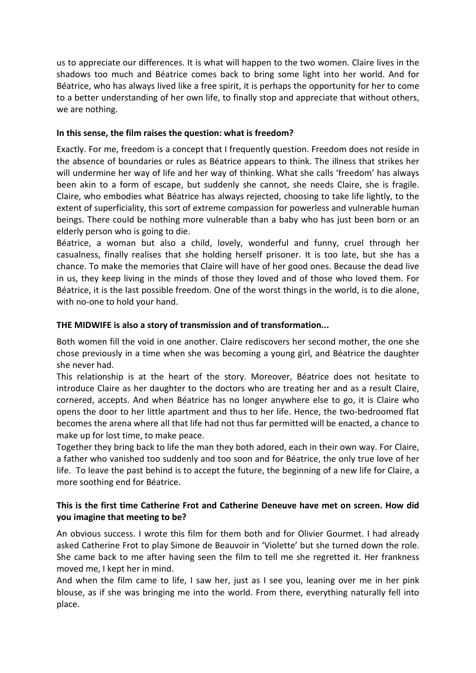us to appreciate our differences. It is what will happen to the two women. Claire lives in the shadows too much and Béatrice comes back to bring some light into her world. And for Béatrice, who has always lived like a free spirit, it is perhaps the opportunity for her to come to a better understanding of her own life, to finally stop and appreciate that without others, we are nothing.

#### **In this sense, the film raises the question: what is freedom?**

Exactly. For me, freedom is a concept that I frequently question. Freedom does not reside in the absence of boundaries or rules as Béatrice appears to think. The illness that strikes her will undermine her way of life and her way of thinking. What she calls 'freedom' has always been akin to a form of escape, but suddenly she cannot, she needs Claire, she is fragile. Claire, who embodies what Béatrice has always rejected, choosing to take life lightly, to the extent of superficiality, this sort of extreme compassion for powerless and vulnerable human beings. There could be nothing more vulnerable than a baby who has just been born or an elderly person who is going to die.

Béatrice, a woman but also a child, lovely, wonderful and funny, cruel through her casualness, finally realises that she holding herself prisoner. It is too late, but she has a chance. To make the memories that Claire will have of her good ones. Because the dead live in us, they keep living in the minds of those they loved and of those who loved them. For Béatrice, it is the last possible freedom. One of the worst things in the world, is to die alone, with no-one to hold your hand.

#### **THE MIDWIFE is also a story of transmission and of transformation...**

Both women fill the void in one another. Claire rediscovers her second mother, the one she chose previously in a time when she was becoming a young girl, and Béatrice the daughter she never had.

This relationship is at the heart of the story. Moreover, Béatrice does not hesitate to introduce Claire as her daughter to the doctors who are treating her and as a result Claire, cornered, accepts. And when Béatrice has no longer anywhere else to go, it is Claire who opens the door to her little apartment and thus to her life. Hence, the two-bedroomed flat becomes the arena where all that life had not thus far permitted will be enacted, a chance to make up for lost time, to make peace.

Together they bring back to life the man they both adored, each in their own way. For Claire, a father who vanished too suddenly and too soon and for Béatrice, the only true love of her life. To leave the past behind is to accept the future, the beginning of a new life for Claire, a more soothing end for Béatrice.

#### **This is the first time Catherine Frot and Catherine Deneuve have met on screen. How did you imagine that meeting to be?**

An obvious success. I wrote this film for them both and for Olivier Gourmet. I had already asked Catherine Frot to play Simone de Beauvoir in 'Violette' but she turned down the role. She came back to me after having seen the film to tell me she regretted it. Her frankness moved me, I kept her in mind.

And when the film came to life, I saw her, just as I see you, leaning over me in her pink blouse, as if she was bringing me into the world. From there, everything naturally fell into place.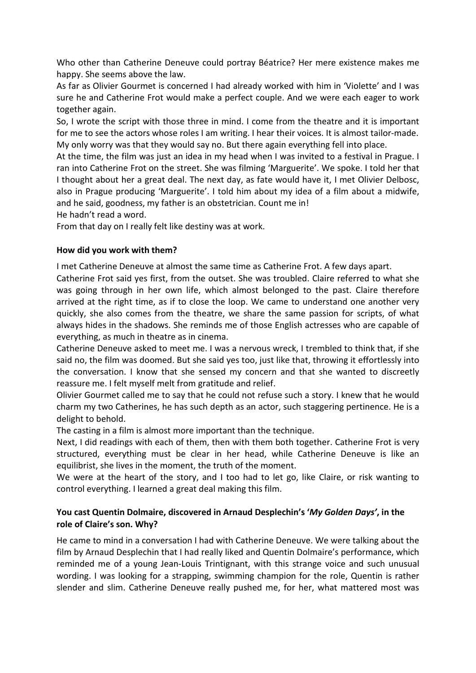Who other than Catherine Deneuve could portray Béatrice? Her mere existence makes me happy. She seems above the law.

As far as Olivier Gourmet is concerned I had already worked with him in 'Violette' and I was sure he and Catherine Frot would make a perfect couple. And we were each eager to work together again.

So, I wrote the script with those three in mind. I come from the theatre and it is important for me to see the actors whose roles I am writing. I hear their voices. It is almost tailor-made. My only worry was that they would say no. But there again everything fell into place.

At the time, the film was just an idea in my head when I was invited to a festival in Prague. I ran into Catherine Frot on the street. She was filming 'Marguerite'. We spoke. I told her that I thought about her a great deal. The next day, as fate would have it, I met Olivier Delbosc, also in Prague producing 'Marguerite'. I told him about my idea of a film about a midwife, and he said, goodness, my father is an obstetrician. Count me in!

He hadn't read a word.

From that day on I really felt like destiny was at work.

#### **How did you work with them?**

I met Catherine Deneuve at almost the same time as Catherine Frot. A few days apart.

Catherine Frot said yes first, from the outset. She was troubled. Claire referred to what she was going through in her own life, which almost belonged to the past. Claire therefore arrived at the right time, as if to close the loop. We came to understand one another very quickly, she also comes from the theatre, we share the same passion for scripts, of what always hides in the shadows. She reminds me of those English actresses who are capable of everything, as much in theatre as in cinema.

Catherine Deneuve asked to meet me. I was a nervous wreck, I trembled to think that, if she said no, the film was doomed. But she said yes too, just like that, throwing it effortlessly into the conversation. I know that she sensed my concern and that she wanted to discreetly reassure me. I felt myself melt from gratitude and relief.

Olivier Gourmet called me to say that he could not refuse such a story. I knew that he would charm my two Catherines, he has such depth as an actor, such staggering pertinence. He is a delight to behold.

The casting in a film is almost more important than the technique.

Next, I did readings with each of them, then with them both together. Catherine Frot is very structured, everything must be clear in her head, while Catherine Deneuve is like an equilibrist, she lives in the moment, the truth of the moment.

We were at the heart of the story, and I too had to let go, like Claire, or risk wanting to control everything. I learned a great deal making this film.

#### **You cast Quentin Dolmaire, discovered in Arnaud Desplechin's '***My Golden Days'***, in the role of Claire's son. Why?**

He came to mind in a conversation I had with Catherine Deneuve. We were talking about the film by Arnaud Desplechin that I had really liked and Quentin Dolmaire's performance, which reminded me of a young Jean-Louis Trintignant, with this strange voice and such unusual wording. I was looking for a strapping, swimming champion for the role, Quentin is rather slender and slim. Catherine Deneuve really pushed me, for her, what mattered most was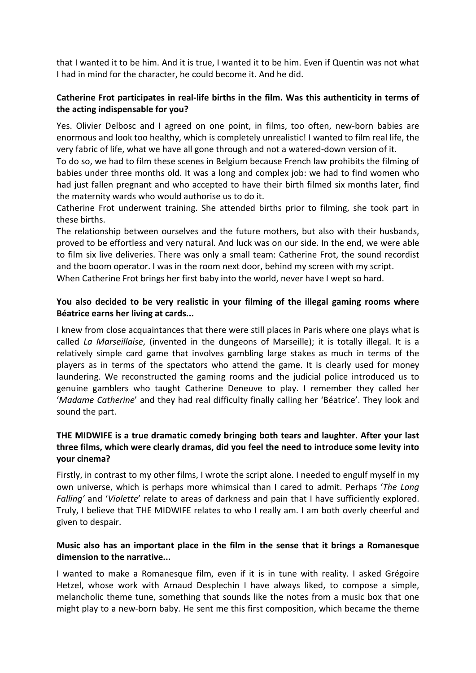that I wanted it to be him. And it is true, I wanted it to be him. Even if Quentin was not what I had in mind for the character, he could become it. And he did.

#### **Catherine Frot participates in real-life births in the film. Was this authenticity in terms of the acting indispensable for you?**

Yes. Olivier Delbosc and I agreed on one point, in films, too often, new-born babies are enormous and look too healthy, which is completely unrealistic! I wanted to film real life, the very fabric of life, what we have all gone through and not a watered-down version of it.

To do so, we had to film these scenes in Belgium because French law prohibits the filming of babies under three months old. It was a long and complex job: we had to find women who had just fallen pregnant and who accepted to have their birth filmed six months later, find the maternity wards who would authorise us to do it.

Catherine Frot underwent training. She attended births prior to filming, she took part in these births.

The relationship between ourselves and the future mothers, but also with their husbands, proved to be effortless and very natural. And luck was on our side. In the end, we were able to film six live deliveries. There was only a small team: Catherine Frot, the sound recordist and the boom operator. I was in the room next door, behind my screen with my script. When Catherine Frot brings her first baby into the world, never have I wept so hard.

#### **You also decided to be very realistic in your filming of the illegal gaming rooms where Béatrice earns her living at cards...**

I knew from close acquaintances that there were still places in Paris where one plays what is called *La Marseillaise*, (invented in the dungeons of Marseille); it is totally illegal. It is a relatively simple card game that involves gambling large stakes as much in terms of the players as in terms of the spectators who attend the game. It is clearly used for money laundering. We reconstructed the gaming rooms and the judicial police introduced us to genuine gamblers who taught Catherine Deneuve to play. I remember they called her '*Madame Catherine*' and they had real difficulty finally calling her 'Béatrice'. They look and sound the part.

#### **THE MIDWIFE is a true dramatic comedy bringing both tears and laughter. After your last three films, which were clearly dramas, did you feel the need to introduce some levity into your cinema?**

Firstly, in contrast to my other films, I wrote the script alone. I needed to engulf myself in my own universe, which is perhaps more whimsical than I cared to admit. Perhaps '*The Long Falling'* and '*Violette*' relate to areas of darkness and pain that I have sufficiently explored. Truly, I believe that THE MIDWIFE relates to who I really am. I am both overly cheerful and given to despair.

#### **Music also has an important place in the film in the sense that it brings a Romanesque dimension to the narrative...**

I wanted to make a Romanesque film, even if it is in tune with reality. I asked Grégoire Hetzel, whose work with Arnaud Desplechin I have always liked, to compose a simple, melancholic theme tune, something that sounds like the notes from a music box that one might play to a new-born baby. He sent me this first composition, which became the theme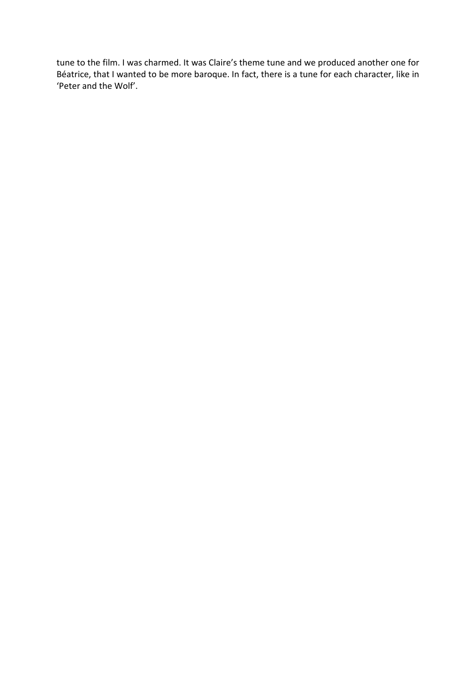tune to the film. I was charmed. It was Claire's theme tune and we produced another one for Béatrice, that I wanted to be more baroque. In fact, there is a tune for each character, like in 'Peter and the Wolf'.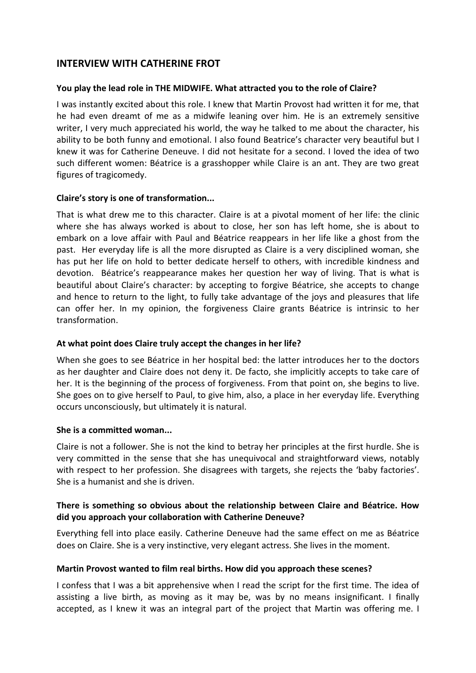#### **INTERVIEW WITH CATHERINE FROT**

#### **You play the lead role in THE MIDWIFE. What attracted you to the role of Claire?**

I was instantly excited about this role. I knew that Martin Provost had written it for me, that he had even dreamt of me as a midwife leaning over him. He is an extremely sensitive writer, I very much appreciated his world, the way he talked to me about the character, his ability to be both funny and emotional. I also found Beatrice's character very beautiful but I knew it was for Catherine Deneuve. I did not hesitate for a second. I loved the idea of two such different women: Béatrice is a grasshopper while Claire is an ant. They are two great figures of tragicomedy.

#### **Claire's story is one of transformation...**

That is what drew me to this character. Claire is at a pivotal moment of her life: the clinic where she has always worked is about to close, her son has left home, she is about to embark on a love affair with Paul and Béatrice reappears in her life like a ghost from the past. Her everyday life is all the more disrupted as Claire is a very disciplined woman, she has put her life on hold to better dedicate herself to others, with incredible kindness and devotion. Béatrice's reappearance makes her question her way of living. That is what is beautiful about Claire's character: by accepting to forgive Béatrice, she accepts to change and hence to return to the light, to fully take advantage of the joys and pleasures that life can offer her. In my opinion, the forgiveness Claire grants Béatrice is intrinsic to her transformation.

#### **At what point does Claire truly accept the changes in her life?**

When she goes to see Béatrice in her hospital bed: the latter introduces her to the doctors as her daughter and Claire does not deny it. De facto, she implicitly accepts to take care of her. It is the beginning of the process of forgiveness. From that point on, she begins to live. She goes on to give herself to Paul, to give him, also, a place in her everyday life. Everything occurs unconsciously, but ultimately it is natural.

#### **She is a committed woman...**

Claire is not a follower. She is not the kind to betray her principles at the first hurdle. She is very committed in the sense that she has unequivocal and straightforward views, notably with respect to her profession. She disagrees with targets, she rejects the 'baby factories'. She is a humanist and she is driven.

#### **There is something so obvious about the relationship between Claire and Béatrice. How did you approach your collaboration with Catherine Deneuve?**

Everything fell into place easily. Catherine Deneuve had the same effect on me as Béatrice does on Claire. She is a very instinctive, very elegant actress. She lives in the moment.

#### **Martin Provost wanted to film real births. How did you approach these scenes?**

I confess that I was a bit apprehensive when I read the script for the first time. The idea of assisting a live birth, as moving as it may be, was by no means insignificant. I finally accepted, as I knew it was an integral part of the project that Martin was offering me. I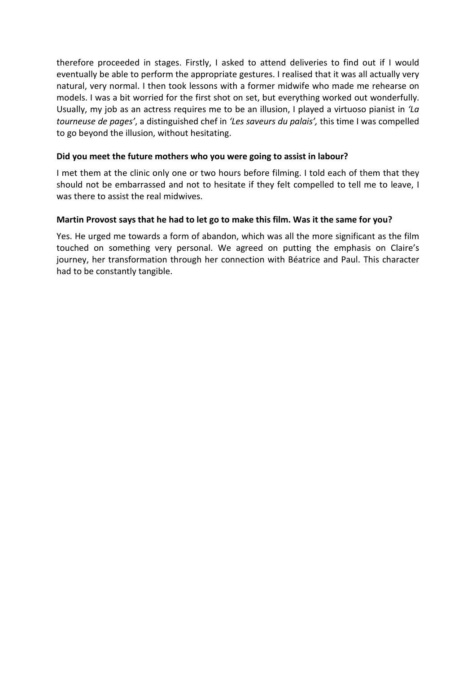therefore proceeded in stages. Firstly, I asked to attend deliveries to find out if I would eventually be able to perform the appropriate gestures. I realised that it was all actually very natural, very normal. I then took lessons with a former midwife who made me rehearse on models. I was a bit worried for the first shot on set, but everything worked out wonderfully. Usually, my job as an actress requires me to be an illusion, I played a virtuoso pianist in *'La tourneuse de pages'*, a distinguished chef in *'Les saveurs du palais',* this time I was compelled to go beyond the illusion, without hesitating.

#### **Did you meet the future mothers who you were going to assist in labour?**

I met them at the clinic only one or two hours before filming. I told each of them that they should not be embarrassed and not to hesitate if they felt compelled to tell me to leave, I was there to assist the real midwives.

#### **Martin Provost says that he had to let go to make this film. Was it the same for you?**

Yes. He urged me towards a form of abandon, which was all the more significant as the film touched on something very personal. We agreed on putting the emphasis on Claire's journey, her transformation through her connection with Béatrice and Paul. This character had to be constantly tangible.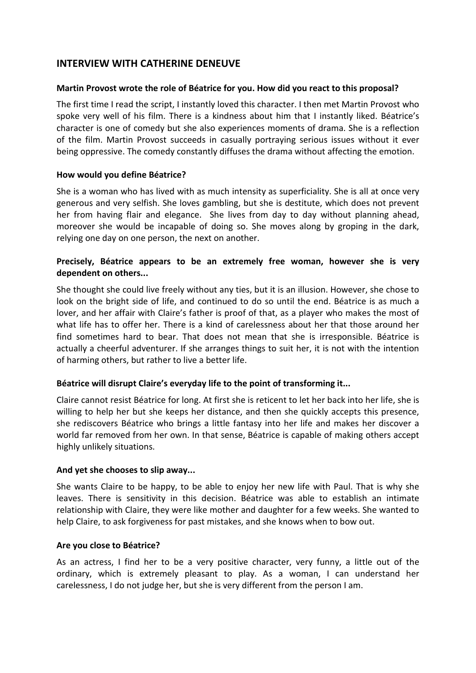#### **INTERVIEW WITH CATHERINE DENEUVE**

#### **Martin Provost wrote the role of Béatrice for you. How did you react to this proposal?**

The first time I read the script, I instantly loved this character. I then met Martin Provost who spoke very well of his film. There is a kindness about him that I instantly liked. Béatrice's character is one of comedy but she also experiences moments of drama. She is a reflection of the film. Martin Provost succeeds in casually portraying serious issues without it ever being oppressive. The comedy constantly diffuses the drama without affecting the emotion.

#### **How would you define Béatrice?**

She is a woman who has lived with as much intensity as superficiality. She is all at once very generous and very selfish. She loves gambling, but she is destitute, which does not prevent her from having flair and elegance. She lives from day to day without planning ahead, moreover she would be incapable of doing so. She moves along by groping in the dark, relying one day on one person, the next on another.

#### **Precisely, Béatrice appears to be an extremely free woman, however she is very dependent on others...**

She thought she could live freely without any ties, but it is an illusion. However, she chose to look on the bright side of life, and continued to do so until the end. Béatrice is as much a lover, and her affair with Claire's father is proof of that, as a player who makes the most of what life has to offer her. There is a kind of carelessness about her that those around her find sometimes hard to bear. That does not mean that she is irresponsible. Béatrice is actually a cheerful adventurer. If she arranges things to suit her, it is not with the intention of harming others, but rather to live a better life.

#### **Béatrice will disrupt Claire's everyday life to the point of transforming it...**

Claire cannot resist Béatrice for long. At first she is reticent to let her back into her life, she is willing to help her but she keeps her distance, and then she quickly accepts this presence, she rediscovers Béatrice who brings a little fantasy into her life and makes her discover a world far removed from her own. In that sense, Béatrice is capable of making others accept highly unlikely situations.

#### **And yet she chooses to slip away...**

She wants Claire to be happy, to be able to enjoy her new life with Paul. That is why she leaves. There is sensitivity in this decision. Béatrice was able to establish an intimate relationship with Claire, they were like mother and daughter for a few weeks. She wanted to help Claire, to ask forgiveness for past mistakes, and she knows when to bow out.

#### **Are you close to Béatrice?**

As an actress, I find her to be a very positive character, very funny, a little out of the ordinary, which is extremely pleasant to play. As a woman, I can understand her carelessness, I do not judge her, but she is very different from the person I am.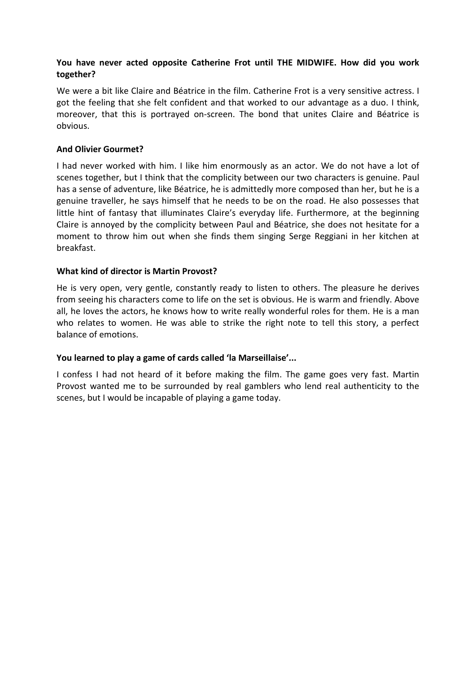#### **You have never acted opposite Catherine Frot until THE MIDWIFE. How did you work together?**

We were a bit like Claire and Béatrice in the film. Catherine Frot is a very sensitive actress. I got the feeling that she felt confident and that worked to our advantage as a duo. I think, moreover, that this is portrayed on-screen. The bond that unites Claire and Béatrice is obvious.

#### **And Olivier Gourmet?**

I had never worked with him. I like him enormously as an actor. We do not have a lot of scenes together, but I think that the complicity between our two characters is genuine. Paul has a sense of adventure, like Béatrice, he is admittedly more composed than her, but he is a genuine traveller, he says himself that he needs to be on the road. He also possesses that little hint of fantasy that illuminates Claire's everyday life. Furthermore, at the beginning Claire is annoyed by the complicity between Paul and Béatrice, she does not hesitate for a moment to throw him out when she finds them singing Serge Reggiani in her kitchen at breakfast.

#### **What kind of director is Martin Provost?**

He is very open, very gentle, constantly ready to listen to others. The pleasure he derives from seeing his characters come to life on the set is obvious. He is warm and friendly. Above all, he loves the actors, he knows how to write really wonderful roles for them. He is a man who relates to women. He was able to strike the right note to tell this story, a perfect balance of emotions.

#### **You learned to play a game of cards called 'la Marseillaise'...**

I confess I had not heard of it before making the film. The game goes very fast. Martin Provost wanted me to be surrounded by real gamblers who lend real authenticity to the scenes, but I would be incapable of playing a game today.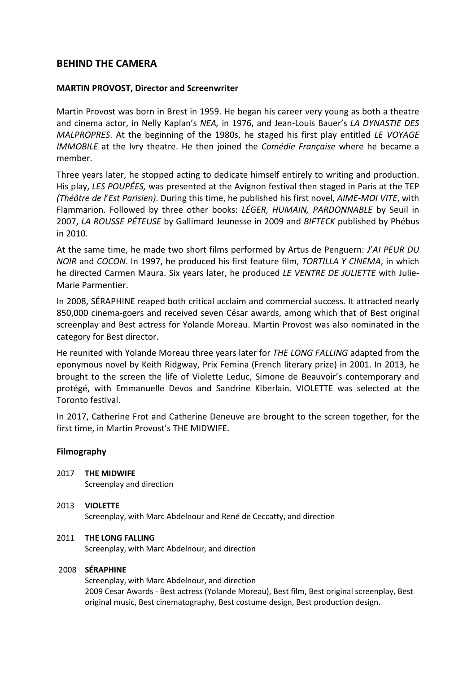#### **BEHIND THE CAMERA**

#### **MARTIN PROVOST, Director and Screenwriter**

Martin Provost was born in Brest in 1959. He began his career very young as both a theatre and cinema actor, in Nelly Kaplan's *NEA,* in 1976, and Jean-Louis Bauer's *LA DYNASTIE DES MALPROPRES*. At the beginning of the 1980s, he staged his first play entitled *LE VOYAGE IMMOBILE* at the Ivry theatre. He then joined the *Comédie Française* where he became a member.

Three years later, he stopped acting to dedicate himself entirely to writing and production. His play, *LES POUPÉES,* was presented at the Avignon festival then staged in Paris at the TEP *(Théâtre de l*'*Est Parisien)*. During this time, he published his first novel, *AIME-MOI VITE*, with Flammarion. Followed by three other books: *LÉGER, HUMAIN, PARDONNABLE* by Seuil in 2007, *LA ROUSSE PÉTEUSE* by Gallimard Jeunesse in 2009 and *BIFTECK* published by Phébus in 2010.

At the same time, he made two short films performed by Artus de Penguern: *J*'*AI PEUR DU NOIR* and *COCON*. In 1997, he produced his first feature film, *TORTILLA Y CINEMA*, in which he directed Carmen Maura. Six years later, he produced *LE VENTRE DE JULIETTE* with Julie-Marie Parmentier.

In 2008, SÉRAPHINE reaped both critical acclaim and commercial success. It attracted nearly 850,000 cinema-goers and received seven César awards, among which that of Best original screenplay and Best actress for Yolande Moreau. Martin Provost was also nominated in the category for Best director.

He reunited with Yolande Moreau three years later for *THE LONG FALLING* adapted from the eponymous novel by Keith Ridgway, Prix Femina (French literary prize) in 2001. In 2013, he brought to the screen the life of Violette Leduc, Simone de Beauvoir's contemporary and protégé, with Emmanuelle Devos and Sandrine Kiberlain. VIOLETTE was selected at the Toronto festival.

In 2017, Catherine Frot and Catherine Deneuve are brought to the screen together, for the first time, in Martin Provost's THE MIDWIFE.

#### **Filmography**

2017 **THE MIDWIFE** Screenplay and direction

#### 2013 **VIOLETTE** Screenplay, with Marc Abdelnour and René de Ceccatty, and direction

#### 2011 **THE LONG FALLING**

Screenplay, with Marc Abdelnour, and direction

#### 2008 **SÉRAPHINE**

Screenplay, with Marc Abdelnour, and direction 2009 Cesar Awards - Best actress (Yolande Moreau), Best film, Best original screenplay, Best original music, Best cinematography, Best costume design, Best production design.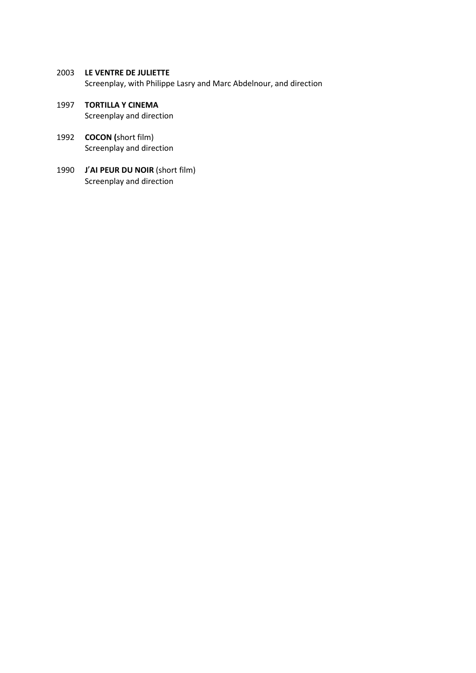2003 **LE VENTRE DE JULIETTE**

Screenplay, with Philippe Lasry and Marc Abdelnour, and direction

- 1997 **TORTILLA Y CINEMA** Screenplay and direction
- 1992 **COCON (**short film) Screenplay and direction
- 1990 **J**'**AI PEUR DU NOIR** (short film) Screenplay and direction